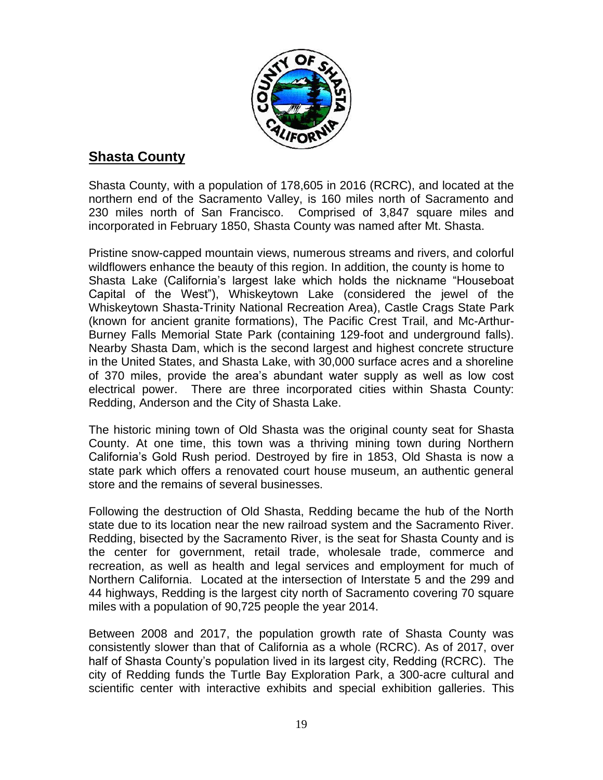

# **Shasta County**

Shasta County, with a population of 178,605 in 2016 (RCRC), and located at the northern end of the Sacramento Valley, is 160 miles north of Sacramento and 230 miles north of San Francisco. Comprised of 3,847 square miles and incorporated in February 1850, Shasta County was named after Mt. Shasta.

Pristine snow-capped mountain views, numerous streams and rivers, and colorful wildflowers enhance the beauty of this region. In addition, the county is home to Shasta Lake (California's largest lake which holds the nickname "Houseboat Capital of the West"), Whiskeytown Lake (considered the jewel of the Whiskeytown Shasta-Trinity National Recreation Area), Castle Crags State Park (known for ancient granite formations), The Pacific Crest Trail, and Mc-Arthur-Burney Falls Memorial State Park (containing 129-foot and underground falls). Nearby Shasta Dam, which is the second largest and highest concrete structure in the United States, and Shasta Lake, with 30,000 surface acres and a shoreline of 370 miles, provide the area's abundant water supply as well as low cost electrical power. There are three incorporated cities within Shasta County: Redding, Anderson and the City of Shasta Lake.

The historic mining town of Old Shasta was the original county seat for Shasta County. At one time, this town was a thriving mining town during Northern California's Gold Rush period. Destroyed by fire in 1853, Old Shasta is now a state park which offers a renovated court house museum, an authentic general store and the remains of several businesses.

Following the destruction of Old Shasta, Redding became the hub of the North state due to its location near the new railroad system and the Sacramento River. Redding, bisected by the Sacramento River, is the seat for Shasta County and is the center for government, retail trade, wholesale trade, commerce and recreation, as well as health and legal services and employment for much of Northern California. Located at the intersection of Interstate 5 and the 299 and 44 highways, Redding is the largest city north of Sacramento covering 70 square miles with a population of 90,725 people the year 2014.

Between 2008 and 2017, the population growth rate of Shasta County was consistently slower than that of California as a whole (RCRC). As of 2017, over half of Shasta County's population lived in its largest city, Redding (RCRC). The city of Redding funds the Turtle Bay Exploration Park, a 300-acre cultural and scientific center with interactive exhibits and special exhibition galleries. This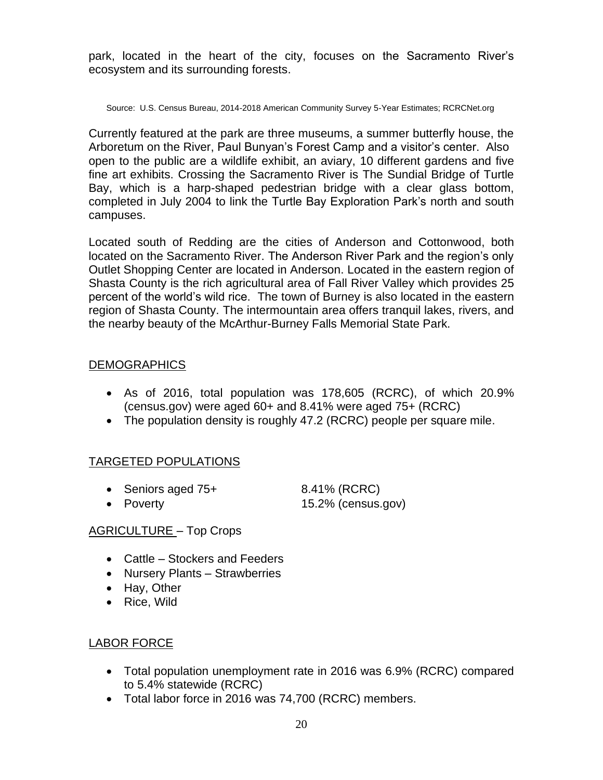park, located in the heart of the city, focuses on the Sacramento River's ecosystem and its surrounding forests.

Source: U.S. Census Bureau, 2014-2018 American Community Survey 5-Year Estimates; RCRCNet.org

Currently featured at the park are three museums, a summer butterfly house, the Arboretum on the River, Paul Bunyan's Forest Camp and a visitor's center. Also open to the public are a wildlife exhibit, an aviary, 10 different gardens and five fine art exhibits. Crossing the Sacramento River is The Sundial Bridge of Turtle Bay, which is a harp-shaped pedestrian bridge with a clear glass bottom, completed in July 2004 to link the Turtle Bay Exploration Park's north and south campuses.

Located south of Redding are the cities of Anderson and Cottonwood, both located on the Sacramento River. The Anderson River Park and the region's only Outlet Shopping Center are located in Anderson. Located in the eastern region of Shasta County is the rich agricultural area of Fall River Valley which provides 25 percent of the world's wild rice. The town of Burney is also located in the eastern region of Shasta County. The intermountain area offers tranquil lakes, rivers, and the nearby beauty of the McArthur-Burney Falls Memorial State Park.

### DEMOGRAPHICS

- As of 2016, total population was 178,605 (RCRC), of which 20.9% (census.gov) were aged 60+ and 8.41% were aged 75+ (RCRC)
- The population density is roughly 47.2 (RCRC) people per square mile.

# TARGETED POPULATIONS

- Seniors aged 75+ 8.41% (RCRC)
- Poverty 15.2% (census.gov)

### AGRICULTURE – Top Crops

- Cattle Stockers and Feeders
- Nursery Plants Strawberries
- Hay, Other
- Rice, Wild

# LABOR FORCE

- Total population unemployment rate in 2016 was 6.9% (RCRC) compared to 5.4% statewide (RCRC)
- Total labor force in 2016 was 74,700 (RCRC) members.